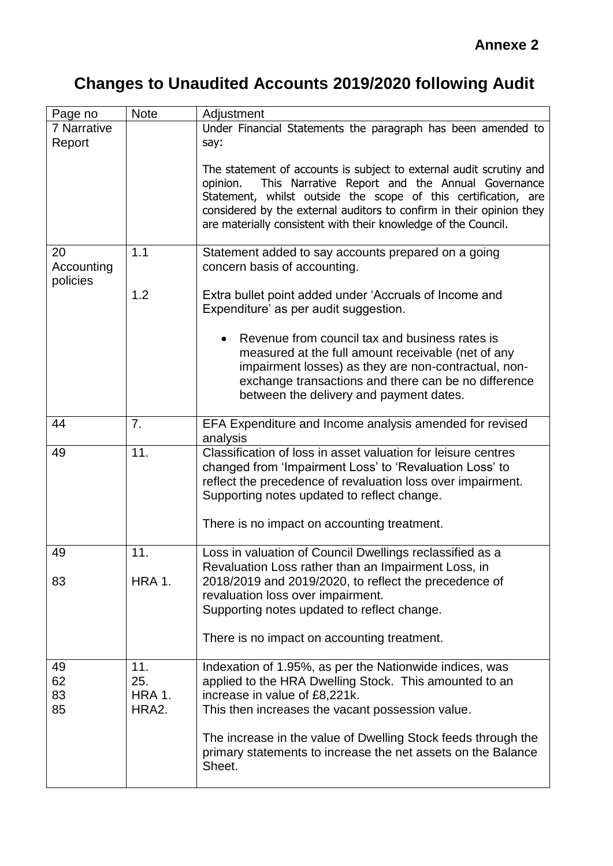## **Changes to Unaudited Accounts 2019/2020 following Audit**

| Page no                      | <b>Note</b>                          | Adjustment                                                                                                                                                                                                                                                                                                                                        |
|------------------------------|--------------------------------------|---------------------------------------------------------------------------------------------------------------------------------------------------------------------------------------------------------------------------------------------------------------------------------------------------------------------------------------------------|
| 7 Narrative                  |                                      | Under Financial Statements the paragraph has been amended to                                                                                                                                                                                                                                                                                      |
| Report                       |                                      | say:                                                                                                                                                                                                                                                                                                                                              |
|                              |                                      | The statement of accounts is subject to external audit scrutiny and<br>This Narrative Report and the Annual Governance<br>opinion.<br>Statement, whilst outside the scope of this certification, are<br>considered by the external auditors to confirm in their opinion they<br>are materially consistent with their knowledge of the Council.    |
| 20<br>Accounting<br>policies | 1.1                                  | Statement added to say accounts prepared on a going<br>concern basis of accounting.                                                                                                                                                                                                                                                               |
|                              | 1.2                                  | Extra bullet point added under 'Accruals of Income and<br>Expenditure' as per audit suggestion.                                                                                                                                                                                                                                                   |
|                              |                                      | Revenue from council tax and business rates is<br>measured at the full amount receivable (net of any<br>impairment losses) as they are non-contractual, non-<br>exchange transactions and there can be no difference<br>between the delivery and payment dates.                                                                                   |
| 44                           | 7.                                   | EFA Expenditure and Income analysis amended for revised<br>analysis                                                                                                                                                                                                                                                                               |
| 49                           | 11.                                  | Classification of loss in asset valuation for leisure centres<br>changed from 'Impairment Loss' to 'Revaluation Loss' to<br>reflect the precedence of revaluation loss over impairment.<br>Supporting notes updated to reflect change.<br>There is no impact on accounting treatment.                                                             |
| 49                           | 11.                                  | Loss in valuation of Council Dwellings reclassified as a<br>Revaluation Loss rather than an Impairment Loss, in                                                                                                                                                                                                                                   |
| 83                           | <b>HRA 1.</b>                        | 2018/2019 and 2019/2020, to reflect the precedence of<br>revaluation loss over impairment.<br>Supporting notes updated to reflect change.                                                                                                                                                                                                         |
|                              |                                      | There is no impact on accounting treatment.                                                                                                                                                                                                                                                                                                       |
| 49<br>62<br>83<br>85         | 11.<br>25.<br><b>HRA 1.</b><br>HRA2. | Indexation of 1.95%, as per the Nationwide indices, was<br>applied to the HRA Dwelling Stock. This amounted to an<br>increase in value of £8,221k.<br>This then increases the vacant possession value.<br>The increase in the value of Dwelling Stock feeds through the<br>primary statements to increase the net assets on the Balance<br>Sheet. |